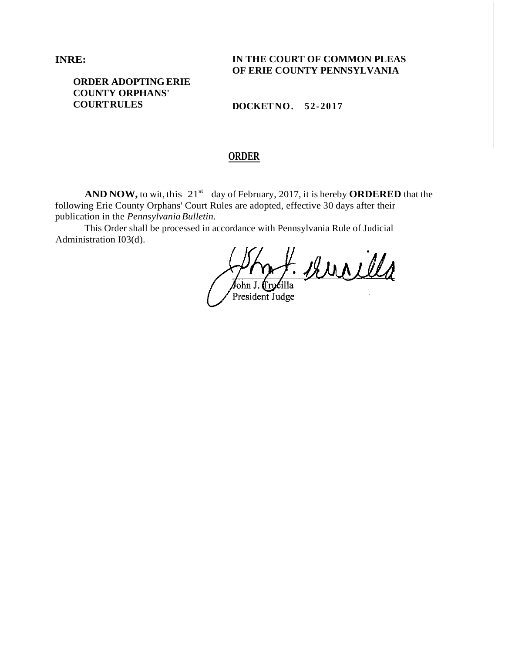**INRE:**

**IN THE COURT OF COMMON PLEAS OF ERIE COUNTY PENNSYLVANIA**

# **ORDER ADOPTING ERIE COUNTY ORPHANS' COURTRULES**

**DOCKETNO. 52-2017**

# **ORDER**

**AND NOW,** to wit, this  $21^{st}$  day of February, 2017, it is hereby **ORDERED** that the following Erie County Orphans' Court Rules are adopted, effective 30 days after their publication in the *PennsylvaniaBulletin.*

This Order shall be processed in accordance with Pennsylvania Rule of Judicial Administration I03(d).

<u>- kurilla</u> ∕John J.⊤ rucilla

President Judge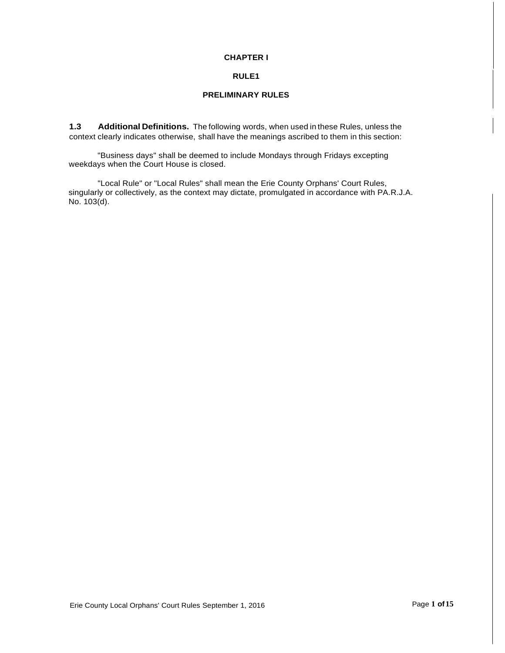### **CHAPTER I**

### **RULE1**

# **PRELIMINARY RULES**

**1.3 Additional Definitions.** The following words, when used in these Rules, unless the context clearly indicates otherwise, shall have the meanings ascribed to them in this section:

"Business days" shall be deemed to include Mondays through Fridays excepting weekdays when the Court House is closed.

"Local Rule" or "Local Rules" shall mean the Erie County Orphans' Court Rules, singularly or collectively, as the context may dictate, promulgated in accordance with PA.R.J.A. No. 103(d).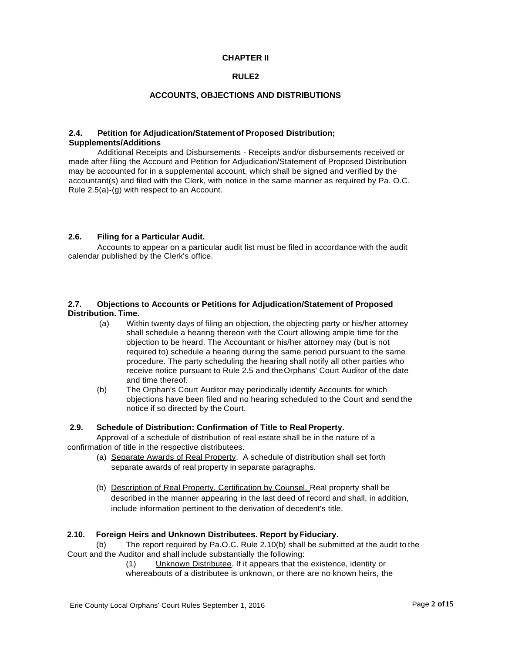# **CHAPTER II**

### **RULE2**

### **ACCOUNTS, OBJECTIONS AND DISTRIBUTIONS**

### **2.4. Petition for Adjudication/Statement of Proposed Distribution; Supplements/Additions**

Additional Receipts and Disbursements - Receipts and/or disbursements received or made after filing the Account and Petition for Adjudication/Statement of Proposed Distribution may be accounted for in a supplemental account, which shall be signed and verified by the accountant(s) and filed with the Clerk, with notice in the same manner as required by Pa. O.C. Rule 2.5(a)-(g) with respect to an Account.

#### **2.6. Filing for a Particular Audit.**

Accounts to appear on a particular audit list must be filed in accordance with the audit calendar published by the Clerk's office.

### **2.7. Objections to Accounts or Petitions for Adjudication/Statement of Proposed Distribution. Time.**

- (a) Within twenty days of filing an objection, the objecting party or his/her attorney shall schedule a hearing thereon with the Court allowing ample time for the objection to be heard. The Accountant or his/her attorney may (but is not required to) schedule a hearing during the same period pursuant to the same procedure. The party scheduling the hearing shall notify all other parties who receive notice pursuant to Rule 2.5 and theOrphans' Court Auditor of the date and time thereof.
- (b) The Orphan's Court Auditor may periodically identify Accounts for which objections have been filed and no hearing scheduled to the Court and send the notice if so directed by the Court.

### **2.9. Schedule of Distribution: Confirmation of Title to Real Property.**

Approval of a schedule of distribution of real estate shall be in the nature of a confirmation of title in the respective distributees.

- (a) Separate Awards of Real Property. A schedule of distribution shall set forth separate awards of real property in separate paragraphs.
- (b) Description of Real Property. Certification by Counsel. Real property shall be described in the manner appearing in the last deed of record and shall, in addition, include information pertinent to the derivation of decedent's title.

# **2.10. Foreign Heirs and Unknown Distributees. Report by Fiduciary.**

(b) The report required by Pa.O.C. Rule 2.10(b) shall be submitted at the audit to the Court and the Auditor and shall include substantially the following:

> (1) Unknown Distributee. If it appears that the existence, identity or whereabouts of a distributee is unknown, or there are no known heirs, the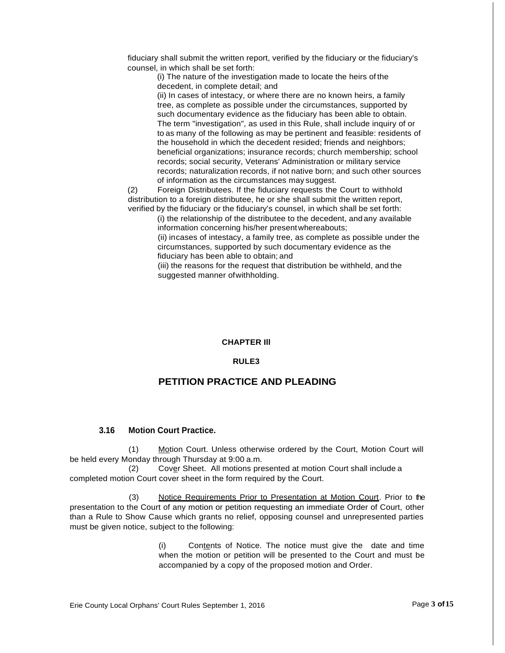fiduciary shall submit the written report, verified by the fiduciary or the fiduciary's counsel, in which shall be set forth:

(i) The nature of the investigation made to locate the heirs of the decedent, in complete detail; and

(ii) In cases of intestacy, or where there are no known heirs, a family tree, as complete as possible under the circumstances, supported by such documentary evidence as the fiduciary has been able to obtain. The term "investigation", as used in this Rule, shall include inquiry of or to as many of the following as may be pertinent and feasible: residents of the household in which the decedent resided; friends and neighbors; beneficial organizations; insurance records; church membership; school records; social security, Veterans' Administration or military service records; naturalization records, if not native born; and such other sources of information as the circumstances may suggest.

(2) Foreign Distributees. If the fiduciary requests the Court to withhold distribution to a foreign distributee, he or she shall submit the written report, verified by the fiduciary or the fiduciary's counsel, in which shall be set forth:

> (i) the relationship of the distributee to the decedent, and any available information concerning his/her present whereabouts;

(ii) incases of intestacy, a family tree, as complete as possible under the circumstances, supported by such documentary evidence as the fiduciary has been able to obtain; and

(iii) the reasons for the request that distribution be withheld, and the suggested manner ofwithholding.

#### **CHAPTER Ill**

#### **RULE3**

# **PETITION PRACTICE AND PLEADING**

### **3.16 Motion Court Practice.**

(1) Motion Court. Unless otherwise ordered by the Court, Motion Court will be held every Monday through Thursday at 9:00 a.m.

(2) Cover Sheet. All motions presented at motion Court shall include a completed motion Court cover sheet in the form required by the Court.

(3) Notice Requirements Prior to Presentation at Motion Court. Prior to the presentation to the Court of any motion or petition requesting an immediate Order of Court, other than a Rule to Show Cause which grants no relief, opposing counsel and unrepresented parties must be given notice, subject to the following:

> (i) Contents of Notice. The notice must give the date and time when the motion or petition will be presented to the Court and must be accompanied by a copy of the proposed motion and Order.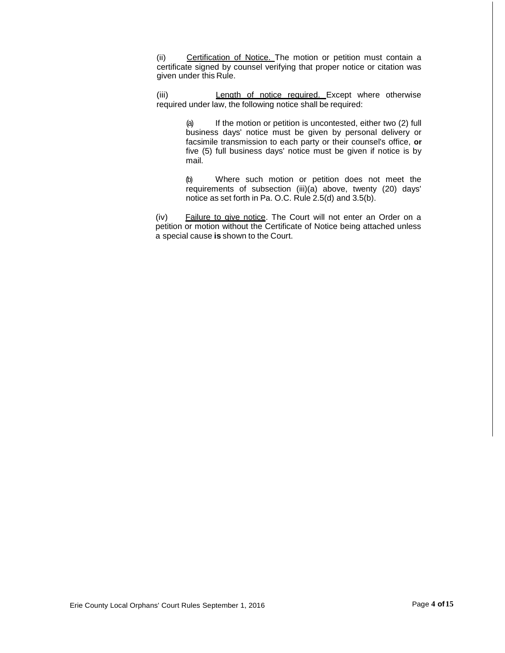(ii) Certification of Notice. The motion or petition must contain a certificate signed by counsel verifying that proper notice or citation was given under this Rule.

(iii) Length of notice required. Except where otherwise required under law, the following notice shall be required:

> (a) If the motion or petition is uncontested, either two (2) full business days' notice must be given by personal delivery or facsimile transmission to each party or their counsel's office, **or**  five (5) full business days' notice must be given if notice is by mail.

> (b) Where such motion or petition does not meet the requirements of subsection (iii)(a) above, twenty (20) days' notice as set forth in Pa. O.C. Rule 2.5(d) and 3.5(b).

(iv) Failure to give notice. The Court will not enter an Order on a petition or motion without the Certificate of Notice being attached unless a special cause **is** shown to the Court.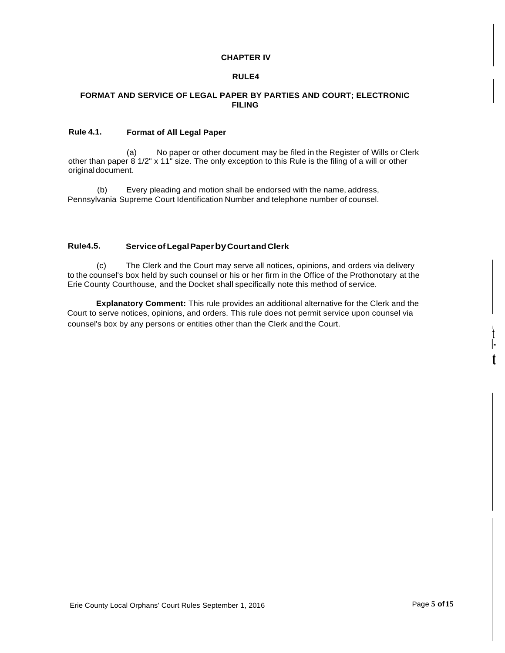### **CHAPTER IV**

### **RULE4**

# **FORMAT AND SERVICE OF LEGAL PAPER BY PARTIES AND COURT; ELECTRONIC FILING**

# **Rule 4.1. Format of All Legal Paper**

(a) No paper or other document may be filed in the Register of Wills or Clerk other than paper 8 1/2" x 11" size. The only exception to this Rule is the filing of a will or other originaldocument.

(b) Every pleading and motion shall be endorsed with the name, address, Pennsylvania Supreme Court Identification Number and telephone number of counsel.

# **Rule4.5. ServiceofLegalPaperbyCourt andClerk**

(c) The Clerk and the Court may serve all notices, opinions, and orders via delivery to the counsel's box held by such counsel or his or her firm in the Office of the Prothonotary at the Erie County Courthouse, and the Docket shall specifically note this method of service.

**Explanatory Comment:** This rule provides an additional alternative for the Clerk and the Court to serve notices, opinions, and orders. This rule does not permit service upon counsel via counsel's box by any persons or entities other than the Clerk and the Court.

t I**t**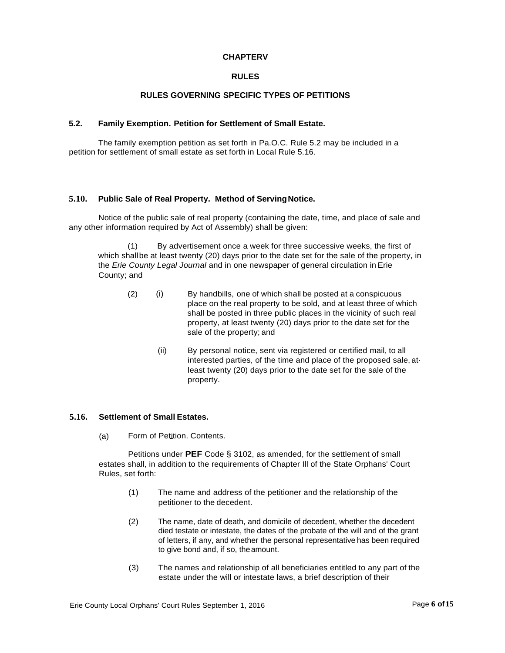# **CHAPTERV**

# **RULES**

# **RULES GOVERNING SPECIFIC TYPES OF PETITIONS**

#### **5.2. Family Exemption. Petition for Settlement of Small Estate.**

The family exemption petition as set forth in Pa.O.C. Rule 5.2 may be included in a petition for settlement of small estate as set forth in Local Rule 5.16.

#### **5.10. Public Sale of Real Property. Method of ServingNotice.**

Notice of the public sale of real property (containing the date, time, and place of sale and any other information required by Act of Assembly) shall be given:

(1) By advertisement once a week for three successive weeks, the first of which shallbe at least twenty (20) days prior to the date set for the sale of the property, in the *Erie County Legal Journal* and in one newspaper of general circulation in Erie County; and

- (2) (i) By handbills, one of which shall be posted at a conspicuous place on the real property to be sold, and at least three of which shall be posted in three public places in the vicinity of such real property, at least twenty (20) days prior to the date set for the sale of the property; and
	- (ii) By personal notice, sent via registered or certified mail, to all interested parties, of the time and place of the proposed sale, at· least twenty (20) days prior to the date set for the sale of the property.

# **5.16. Settlement of Small Estates.**

(a) Form of Petition. Contents.

Petitions under **PEF** Code § 3102, as amended, for the settlement of small estates shall, in addition to the requirements of Chapter Ill of the State Orphans' Court Rules, set forth:

- (1) The name and address of the petitioner and the relationship of the petitioner to the decedent.
- (2) The name, date of death, and domicile of decedent, whether the decedent died testate or intestate, the dates of the probate of the will and of the grant of letters, if any, and whether the personal representative has been required to give bond and, if so, theamount.
- (3) The names and relationship of all beneficiaries entitled to any part of the estate under the will or intestate laws, a brief description of their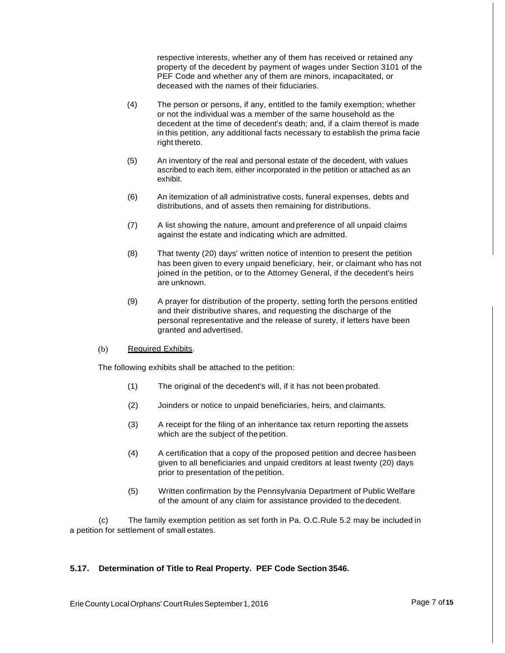respective interests, whether any of them has received or retained any property of the decedent by payment of wages under Section 3101 of the PEF Code and whether any of them are minors, incapacitated, or deceased with the names of their fiduciaries.

- (4) The person or persons, if any, entitled to the family exemption; whether or not the individual was a member of the same household as the decedent at the time of decedent's death; and, if a claim thereof is made in this petition, any additional facts necessary to establish the prima facie right thereto.
- (5) An inventory of the real and personal estate of the decedent, with values ascribed to each item, either incorporated in the petition or attached as an exhibit.
- (6) An itemization of all administrative costs, funeral expenses, debts and distributions, and of assets then remaining for distributions.
- (7) A list showing the nature, amount and preference of all unpaid claims against the estate and indicating which are admitted.
- (8) That twenty (20) days' written notice of intention to present the petition has been given to every unpaid beneficiary, heir, or claimant who has not joined in the petition, or to the Attorney General, if the decedent's heirs are unknown.
- (9) A prayer for distribution of the property, setting forth the persons entitled and their distributive shares, and requesting the discharge of the personal representative and the release of surety, if letters have been granted and advertised.

#### (b) Required Exhibits.

The following exhibits shall be attached to the petition:

- (1) The original of the decedent's will, if it has not been probated.
- (2) Joinders or notice to unpaid beneficiaries, heirs, and claimants.
- (3) A receipt for the filing of an inheritance tax return reporting the assets which are the subject of the petition.
- (4) A certification that a copy of the proposed petition and decree hasbeen given to all beneficiaries and unpaid creditors at least twenty (20) days prior to presentation of the petition.
- (5) Written confirmation by the Pennsylvania Department of Public Welfare of the amount of any claim for assistance provided to thedecedent.

(c) The family exemption petition as set forth in Pa. O.C.Rule 5.2 may be included in a petition for settlement of small estates.

# **5.17. Determination of Title to Real Property. PEF Code Section 3546.**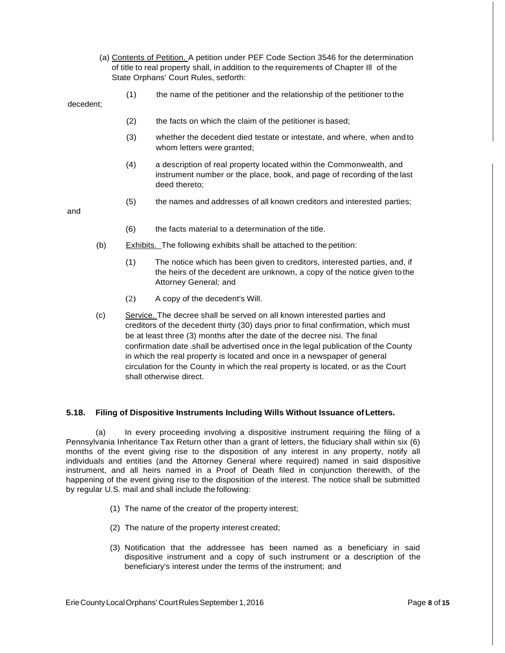- (a) Contents of Petition. A petition under PEF Code Section 3546 for the determination of title to real property shall, in addition to the requirements of Chapter Ill of the State Orphans' Court Rules, setforth:
	-

decedent;

(1) the name of the petitioner and the relationship of the petitioner to the

(2) the facts on which the claim of the petitioner is based;

- (3) whether the decedent died testate or intestate, and where, when andto whom letters were granted;
- (4) a description of real property located within the Commonwealth, and instrument number or the place, book, and page of recording of the last deed thereto;
- (5) the names and addresses of all known creditors and interested parties;

and

- (6) the facts material to a determination of the title.
- (b) Exhibits. The following exhibits shall be attached to the petition:
	- (1) The notice which has been given to creditors, interested parties, and, if the heirs of the decedent are unknown, a copy of the notice given tothe Attorney General; and
	- (2) A copy of the decedent's Will.
- (c) Service. The decree shall be served on all known interested parties and creditors of the decedent thirty (30) days prior to final confirmation, which must be at least three (3) months after the date of the decree nisi. The final confirmation date .shall be advertised once in the legal publication of the County in which the real property is located and once in a newspaper of general circulation for the County in which the real property is located, or as the Court shall otherwise direct.

# **5.18. Filing of Dispositive Instruments Including Wills Without Issuance ofLetters.**

In every proceeding involving a dispositive instrument requiring the filing of a Pennsylvania Inheritance Tax Return other than a grant of letters, the fiduciary shall within six (6) months of the event giving rise to the disposition of any interest in any property, notify all individuals and entities (and the Attorney General where required) named in said dispositive instrument, and all heirs named in a Proof of Death filed in conjunction therewith, of the happening of the event giving rise to the disposition of the interest. The notice shall be submitted by regular U.S. mail and shall include the following:

- (1) The name of the creator of the property interest;
- (2) The nature of the property interest created;
- (3) Notification that the addressee has been named as a beneficiary in said dispositive instrument and a copy of such instrument or a description of the beneficiary's interest under the terms of the instrument; and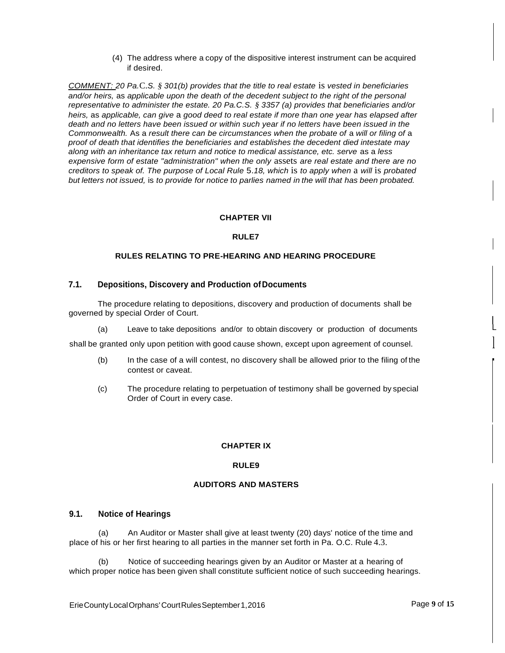(4) The address where a copy of the dispositive interest instrument can be acquired if desired.

*COMMENT: 20 Pa.*C.*S. § 301(b) provides that the title to real estate* is *vested in beneficiaries and/or heirs,* as *applicable upon the death of the decedent subject to the right of the personal representative to administer the estate. 20 Pa.C.S. § 3357 (a) provides that beneficiaries and/or heirs,* as *applicable, can give* a *good deed to real estate if more than one year has elapsed after death and no letters have been issued or within such year if no letters have been issued in the Commonwealth.* As a *result there can be circumstances when the probate of* a *will or filing of* a *proof of death that identifies the beneficiaries and establishes the decedent died intestate may along with an inheritance tax return and notice to medical assistance, etc. serve* as a *less expensive form of estate "administration" when the only* assets *are real estate and there are no creditors to speak of. The purpose of Local Rule* 5.*18, which* is *to apply when* a *will* is *probated*  but letters not issued, is to provide for notice to parlies named in the will that has been probated.

### **CHAPTER VII**

#### **RULE7**

### **RULES RELATING TO PRE-HEARING AND HEARING PROCEDURE**

#### **7.1. Depositions, Discovery and Production ofDocuments**

The procedure relating to depositions, discovery and production of documents shall be governed by special Order of Court.<br>(a) Leave to take deposit

Leave to take depositions and/or to obtain discovery or production of documents

shall be granted only upon petition with good cause shown, except upon agreement of counsel.

- (b) In the case of a will contest, no discovery shall be allowed prior to the filing of the contest or caveat.
- (c) The procedure relating to perpetuation of testimony shall be governed by special Order of Court in every case.

#### **CHAPTER IX**

#### **RULE9**

# **AUDITORS AND MASTERS**

### **9.1. Notice of Hearings**

(a) An Auditor or Master shall give at least twenty (20) days' notice of the time and place of his or her first hearing to all parties in the manner set forth in Pa. O.C. Rule 4.3.

(b) Notice of succeeding hearings given by an Auditor or Master at a hearing of which proper notice has been given shall constitute sufficient notice of such succeeding hearings.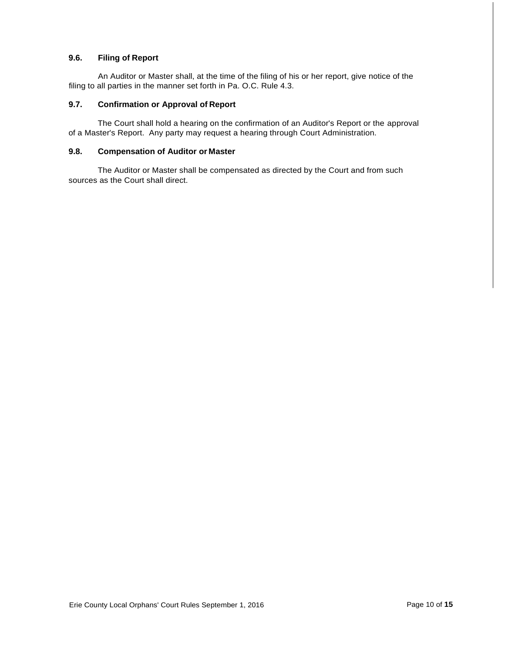# **9.6. Filing of Report**

An Auditor or Master shall, at the time of the filing of his or her report, give notice of the filing to all parties in the manner set forth in Pa. O.C. Rule 4.3.

# **9.7. Confirmation or Approval of Report**

The Court shall hold a hearing on the confirmation of an Auditor's Report or the approval of a Master's Report. Any party may request a hearing through Court Administration.

# **9.8. Compensation of Auditor or Master**

The Auditor or Master shall be compensated as directed by the Court and from such sources as the Court shall direct.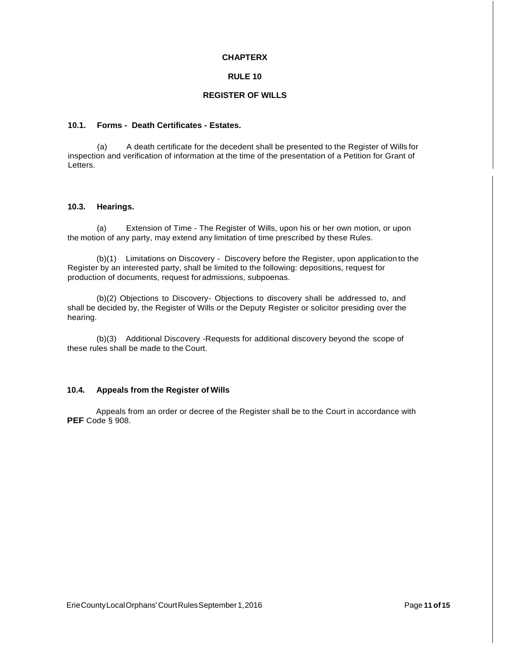### **CHAPTERX**

# **RULE 10**

# **REGISTER OF WILLS**

# **10.1. Forms - Death Certificates - Estates.**

(a) A death certificate for the decedent shall be presented to the Register of Wills for inspection and verification of information at the time of the presentation of a Petition for Grant of Letters.

# **10.3. Hearings.**

(a) Extension of Time - The Register of Wills, upon his or her own motion, or upon the motion of any party, may extend any limitation of time prescribed by these Rules.

(b)(1) Limitations on Discovery - Discovery before the Register, upon application to the Register by an interested party, shall be limited to the following: depositions, request for production of documents, request foradmissions, subpoenas.

(b)(2) Objections to Discovery- Objections to discovery shall be addressed to, and shall be decided by, the Register of Wills or the Deputy Register or solicitor presiding over the hearing.

(b)(3) Additional Discovery -Requests for additional discovery beyond the scope of these rules shall be made to the Court.

# **10.4. Appeals from the Register of Wills**

Appeals from an order or decree of the Register shall be to the Court in accordance with **PEF** Code § 908.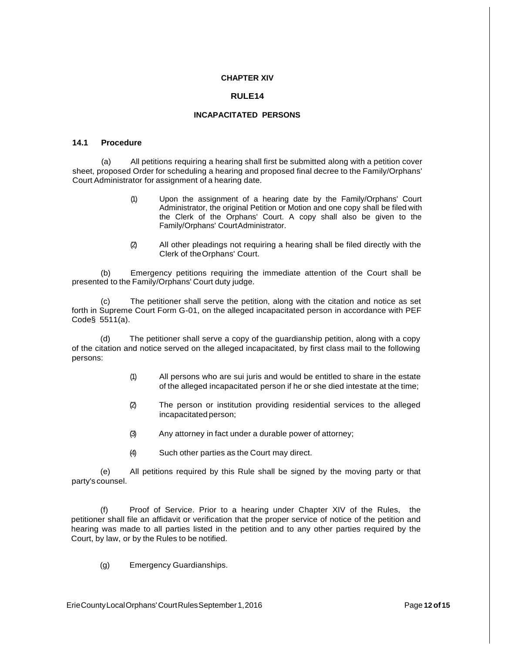### **CHAPTER XIV**

### **RULE14**

## **INCAPACITATED PERSONS**

#### **14.1 Procedure**

(a) All petitions requiring a hearing shall first be submitted along with a petition cover sheet, proposed Order for scheduling a hearing and proposed final decree to the Family/Orphans' Court Administrator for assignment of a hearing date.

- (1) Upon the assignment of a hearing date by the Family/Orphans' Court Administrator, the original Petition or Motion and one copy shall be filed with the Clerk of the Orphans' Court. A copy shall also be given to the Family/Orphans' CourtAdministrator.
- (2) All other pleadings not requiring a hearing shall be filed directly with the Clerk of theOrphans' Court.

(b) Emergency petitions requiring the immediate attention of the Court shall be presented to the Family/Orphans' Court duty judge.

(c) The petitioner shall serve the petition, along with the citation and notice as set forth in Supreme Court Form G-01, on the alleged incapacitated person in accordance with PEF Code§ 5511(a).

(d) The petitioner shall serve a copy of the guardianship petition, along with a copy of the citation and notice served on the alleged incapacitated, by first class mail to the following persons:

- (1) All persons who are sui juris and would be entitled to share in the estate of the alleged incapacitated person if he or she died intestate at the time;
- (2) The person or institution providing residential services to the alleged incapacitated person;
- (3) Any attorney in fact under a durable power of attorney;
- (4) Such other parties as the Court may direct.

(e) All petitions required by this Rule shall be signed by the moving party or that party's counsel.

(f) Proof of Service. Prior to a hearing under Chapter XIV of the Rules, the petitioner shall file an affidavit or verification that the proper service of notice of the petition and hearing was made to all parties listed in the petition and to any other parties required by the Court, by law, or by the Rules to be notified.

(g) Emergency Guardianships.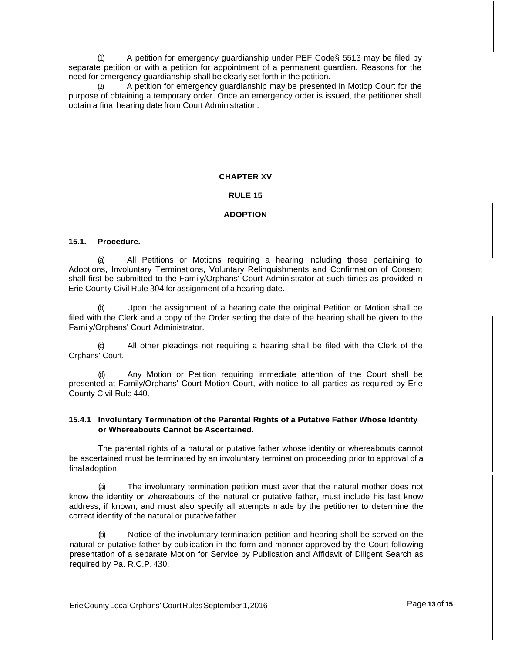(1) A petition for emergency guardianship under PEF Code§ 5513 may be filed by separate petition or with a petition for appointment of a permanent guardian. Reasons for the need for emergency guardianship shall be clearly set forth in the petition.

(2) A petition for emergency guardianship may be presented in Motiop Court for the purpose of obtaining a temporary order. Once an emergency order is issued, the petitioner shall obtain a final hearing date from Court Administration.

# **CHAPTER XV**

# **RULE 15**

# **ADOPTION**

### **15.1. Procedure.**

(a) All Petitions or Motions requiring a hearing including those pertaining to Adoptions, Involuntary Terminations, Voluntary Relinquishments and Confirmation of Consent shall first be submitted to the Family/Orphans' Court Administrator at such times as provided in Erie County Civil Rule 304 for assignment of a hearing date.

Upon the assignment of a hearing date the original Petition or Motion shall be filed with the Clerk and a copy of the Order setting the date of the hearing shall be given to the Family/Orphans' Court Administrator.

All other pleadings not requiring a hearing shall be filed with the Clerk of the Orphans' Court.

Any Motion or Petition requiring immediate attention of the Court shall be presented at Family/Orphans' Court Motion Court, with notice to all parties as required by Erie County Civil Rule 440.

### **15.4.1 Involuntary Termination of the Parental Rights of a Putative Father Whose Identity or Whereabouts Cannot be Ascertained.**

The parental rights of a natural or putative father whose identity or whereabouts cannot be ascertained must be terminated by an involuntary termination proceeding prior to approval of a final adoption.

The involuntary termination petition must aver that the natural mother does not know the identity or whereabouts of the natural or putative father, must include his last know address, if known, and must also specify all attempts made by the petitioner to determine the correct identity of the natural or putativefather.

Notice of the involuntary termination petition and hearing shall be served on the natural or putative father by publication in the form and manner approved by the Court following presentation of a separate Motion for Service by Publication and Affidavit of Diligent Search as required by Pa. R.C.P. 430.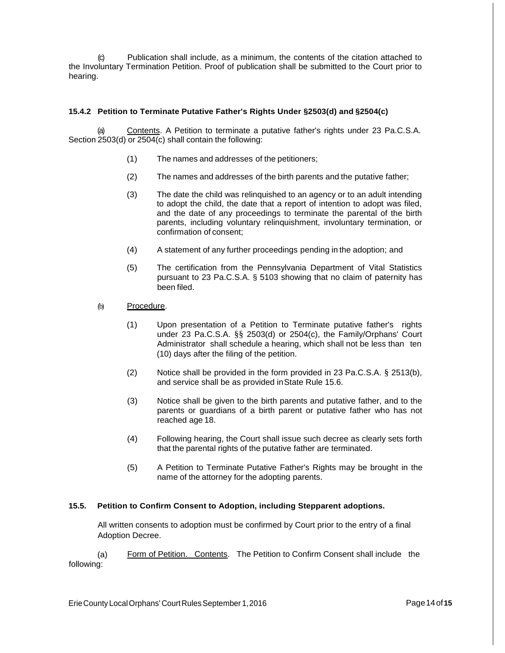(c) Publication shall include, as a minimum, the contents of the citation attached to the Involuntary Termination Petition. Proof of publication shall be submitted to the Court prior to hearing.

# **15.4.2 Petition to Terminate Putative Father's Rights Under §2503(d) and §2504(c)**

(a) Contents. A Petition to terminate a putative father's rights under 23 Pa.C.S.A. Section 2503(d) or 2504(c) shall contain the following:

- (1) The names and addresses of the petitioners;
- (2) The names and addresses of the birth parents and the putative father;
- (3) The date the child was relinquished to an agency or to an adult intending to adopt the child, the date that a report of intention to adopt was filed, and the date of any proceedings to terminate the parental of the birth parents, including voluntary relinquishment, involuntary termination, or confirmation of consent;
- (4) A statement of any further proceedings pending in the adoption; and
- (5) The certification from the Pennsylvania Department of Vital Statistics pursuant to 23 Pa.C.S.A. § 5103 showing that no claim of paternity has been filed.
- (b) Procedure.
	- (1) Upon presentation of a Petition to Terminate putative father's rights under 23 Pa.C.S.A. §§ 2503(d) or 2504(c), the Family/Orphans' Court Administrator shall schedule a hearing, which shall not be less than ten (10) days after the filing of the petition.
	- (2) Notice shall be provided in the form provided in 23 Pa.C.S.A. § 2513(b), and service shall be as provided inState Rule 15.6.
	- (3) Notice shall be given to the birth parents and putative father, and to the parents or guardians of a birth parent or putative father who has not reached age 18.
	- (4) Following hearing, the Court shall issue such decree as clearly sets forth that the parental rights of the putative father are terminated.
	- (5) A Petition to Terminate Putative Father's Rights may be brought in the name of the attorney for the adopting parents.

# **15.5. Petition to Confirm Consent to Adoption, including Stepparent adoptions.**

All written consents to adoption must be confirmed by Court prior to the entry of a final Adoption Decree.

(a) following: Form of Petition. Contents. The Petition to Confirm Consent shall include the